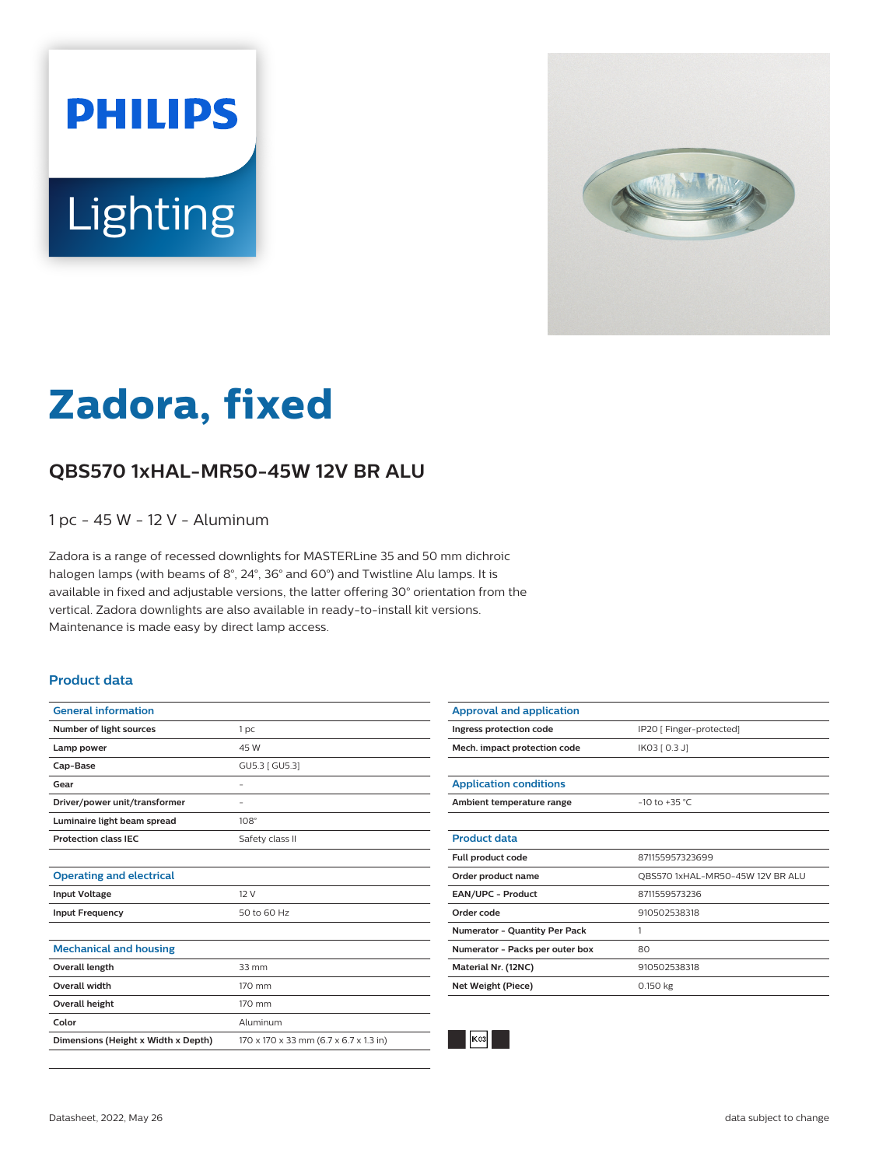



# **Zadora, fixed**

## **QBS570 1xHAL-MR50-45W 12V BR ALU**

1 pc - 45 W - 12 V - Aluminum

Zadora is a range of recessed downlights for MASTERLine 35 and 50 mm dichroic halogen lamps (with beams of 8°, 24°, 36° and 60°) and Twistline Alu lamps. It is available in fixed and adjustable versions, the latter offering 30° orientation from the vertical. Zadora downlights are also available in ready-to-install kit versions. Maintenance is made easy by direct lamp access.

#### **Product data**

| <b>General information</b>          |                                        |
|-------------------------------------|----------------------------------------|
| Number of light sources             | 1 <sub>pc</sub>                        |
| Lamp power                          | 45 W                                   |
| Cap-Base                            | GU5.3 [ GU5.3]                         |
| Gear                                | -                                      |
| Driver/power unit/transformer       | ۰                                      |
| Luminaire light beam spread         | $108^\circ$                            |
| <b>Protection class IEC</b>         | Safety class II                        |
|                                     |                                        |
| <b>Operating and electrical</b>     |                                        |
| <b>Input Voltage</b>                | 12V                                    |
| <b>Input Frequency</b>              | 50 to 60 Hz                            |
|                                     |                                        |
| <b>Mechanical and housing</b>       |                                        |
| Overall length                      | $33 \, \text{mm}$                      |
| <b>Overall width</b>                | 170 mm                                 |
| Overall height                      | 170 mm                                 |
| Color                               | Aluminum                               |
| Dimensions (Height x Width x Depth) | 170 x 170 x 33 mm (6.7 x 6.7 x 1.3 in) |

| <b>Approval and application</b>      |                                  |
|--------------------------------------|----------------------------------|
| Ingress protection code              | IP20 [ Finger-protected]         |
| Mech. impact protection code         | IK03 [ 0.3 J]                    |
|                                      |                                  |
| <b>Application conditions</b>        |                                  |
| Ambient temperature range            | $-10$ to $+35$ °C                |
|                                      |                                  |
| <b>Product data</b>                  |                                  |
| Full product code                    | 871155957323699                  |
| Order product name                   | OBS570 1xHAL-MR50-45W 12V BR ALU |
| EAN/UPC - Product                    | 8711559573236                    |
| Order code                           | 910502538318                     |
| <b>Numerator - Quantity Per Pack</b> | 1                                |
| Numerator - Packs per outer box      | 80                               |
| Material Nr. (12NC)                  | 910502538318                     |
| Net Weight (Piece)                   | 0.150 kg                         |
|                                      |                                  |